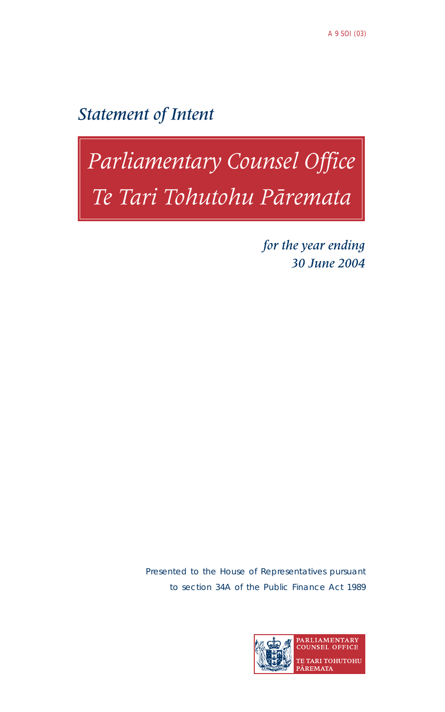**Statement of Intent** 

# Parliamentary Counsel Office<br>Te Tari Tohutohu Pāremata

for the year ending 30 June 2004

Presented to the House of Representatives pursuant to section 34A of the Public Finance Act 1989

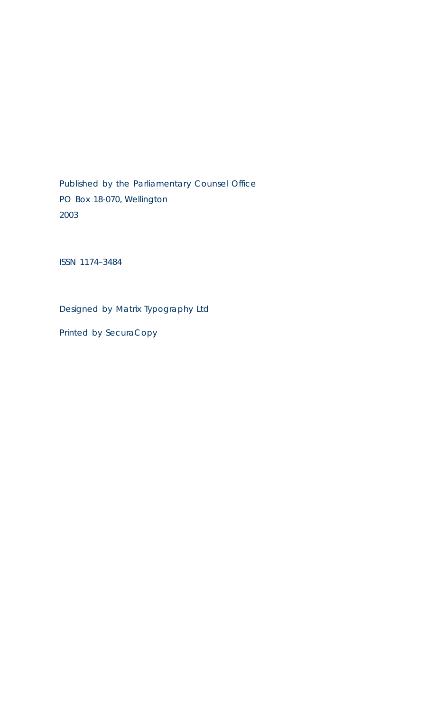Published by the Parliamentary Counsel Office PO Box 18-070, Wellington 2003

ISSN 1174–3484

Designed by Matrix Typography Ltd

Printed by SecuraCopy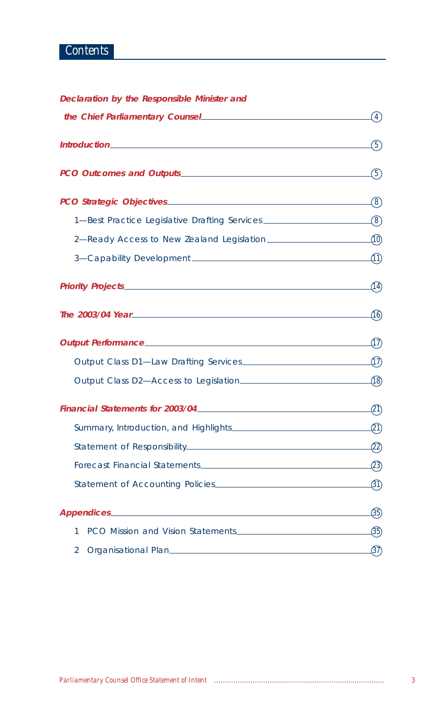# *Contents*

|  |  |  | Declaration by the Responsible Minister and |  |  |
|--|--|--|---------------------------------------------|--|--|
|--|--|--|---------------------------------------------|--|--|

|                                                                                   | $\left( 4\right)$ |
|-----------------------------------------------------------------------------------|-------------------|
|                                                                                   | (5)               |
|                                                                                   | $\left( 5\right)$ |
|                                                                                   | $\left( 8\right)$ |
| 1-Best Practice Legislative Drafting Services ___________________________________ |                   |
| 2—Ready Access to New Zealand Legislation $\text{________} (10)$                  |                   |
|                                                                                   | $\curvearrowleft$ |
|                                                                                   | (14)              |
|                                                                                   | ழி                |
|                                                                                   | $\Omega$          |
| Output Class D1-Law Drafting Services                                             |                   |
|                                                                                   |                   |
|                                                                                   |                   |
|                                                                                   |                   |
|                                                                                   | -(22)             |
|                                                                                   |                   |
|                                                                                   | $\_\mathcal{B}$   |
|                                                                                   | (35)              |
| 1                                                                                 |                   |
| 2                                                                                 | (37)              |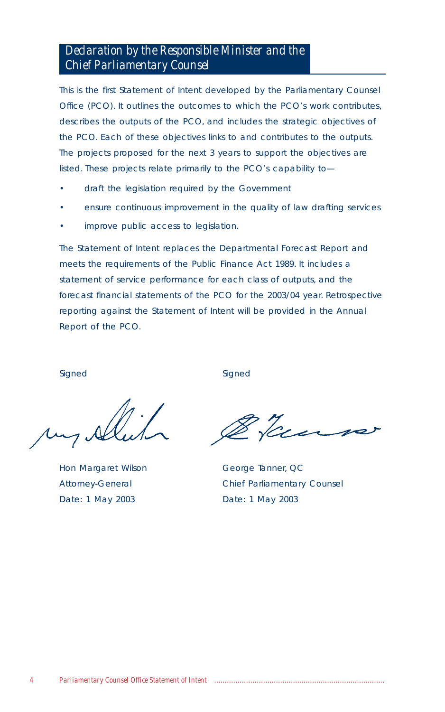# *Declaration by the Responsible Minister and the Chief Parliamentary Counsel*

This is the first Statement of Intent developed by the Parliamentary Counsel Office (PCO). It outlines the outcomes to which the PCO's work contributes, describes the outputs of the PCO, and includes the strategic objectives of the PCO. Each of these objectives links to and contributes to the outputs. The projects proposed for the next 3 years to support the objectives are listed. These projects relate primarily to the PCO's capability to—

- draft the legislation required by the Government
- ensure continuous improvement in the quality of law drafting services
- improve public access to legislation.

The Statement of Intent replaces the Departmental Forecast Report and meets the requirements of the Public Finance Act 1989. It includes a statement of service performance for each class of outputs, and the forecast financial statements of the PCO for the 2003/04 year. Retrospective reporting against the Statement of Intent will be provided in the Annual Report of the PCO.

Hon Margaret Wilson George Tanner, QC Date: 1 May 2003 Date: 1 May 2003

Signed Signed Signed Signed Signed Signed Signed Signed Signed Signed Signed Signed Signed Signed Signed Signed Signed Signed Signed Signed Signed Signed Signed Signed Signed Signed Signed Signed Signed Signed Signed Signe

Gues

Attorney-General Chief Parliamentary Counsel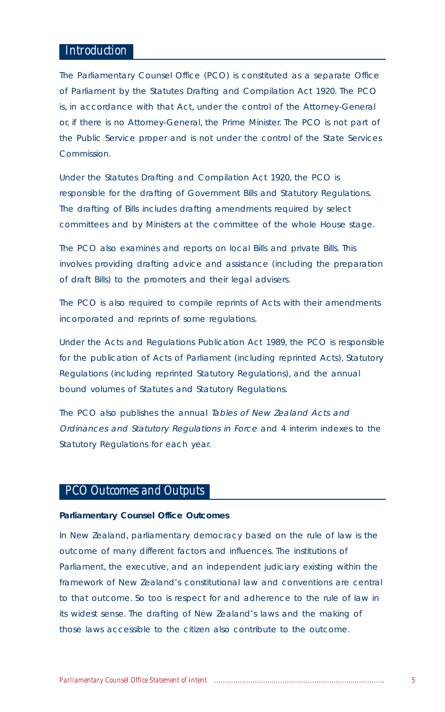## *Introduction*

The Parliamentary Counsel Office (PCO) is constituted as a separate Office of Parliament by the Statutes Drafting and Compilation Act 1920. The PCO is, in accordance with that Act, under the control of the Attorney-General or, if there is no Attorney-General, the Prime Minister. The PCO is not part of the Public Service proper and is not under the control of the State Services Commission.

Under the Statutes Drafting and Compilation Act 1920, the PCO is responsible for the drafting of Government Bills and Statutory Regulations. The drafting of Bills includes drafting amendments required by select committees and by Ministers at the committee of the whole House stage.

The PCO also examines and reports on local Bills and private Bills. This involves providing drafting advice and assistance (including the preparation of draft Bills) to the promoters and their legal advisers.

The PCO is also required to compile reprints of Acts with their amendments incorporated and reprints of some regulations.

Under the Acts and Regulations Publication Act 1989, the PCO is responsible for the publication of Acts of Parliament (including reprinted Acts), Statutory Regulations (including reprinted Statutory Regulations), and the annual bound volumes of Statutes and Statutory Regulations.

The PCO also publishes the annual Tables of New Zealand Acts and Ordinances and Statutory Regulations in Force and 4 interim indexes to the Statutory Regulations for each year.

# *PCO Outcomes and Outputs*

#### **Parliamentary Counsel Office Outcomes**

In New Zealand, parliamentary democracy based on the rule of law is the outcome of many different factors and influences. The institutions of Parliament, the executive, and an independent judiciary existing within the framework of New Zealand's constitutional law and conventions are central to that outcome. So too is respect for and adherence to the rule of law in its widest sense. The drafting of New Zealand's laws and the making of those laws accessible to the citizen also contribute to the outcome.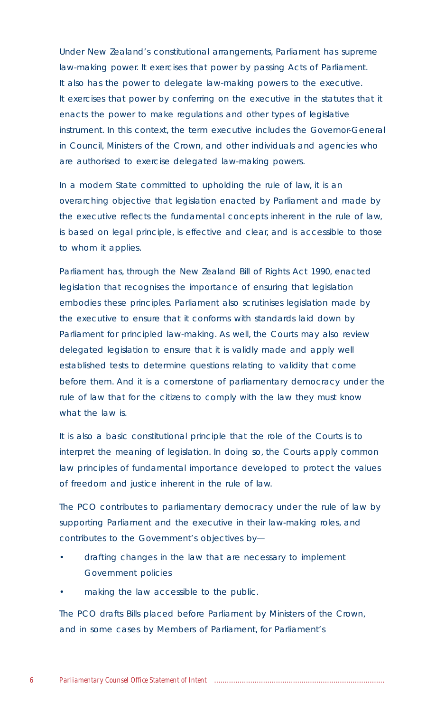Under New Zealand's constitutional arrangements, Parliament has supreme law-making power. It exercises that power by passing Acts of Parliament. It also has the power to delegate law-making powers to the executive. It exercises that power by conferring on the executive in the statutes that it enacts the power to make regulations and other types of legislative instrument. In this context, the term executive includes the Governor-General in Council, Ministers of the Crown, and other individuals and agencies who are authorised to exercise delegated law-making powers.

In a modern State committed to upholding the rule of law, it is an overarching objective that legislation enacted by Parliament and made by the executive reflects the fundamental concepts inherent in the rule of law, is based on legal principle, is effective and clear, and is accessible to those to whom it applies.

Parliament has, through the New Zealand Bill of Rights Act 1990, enacted legislation that recognises the importance of ensuring that legislation embodies these principles. Parliament also scrutinises legislation made by the executive to ensure that it conforms with standards laid down by Parliament for principled law-making. As well, the Courts may also review delegated legislation to ensure that it is validly made and apply well established tests to determine questions relating to validity that come before them. And it is a cornerstone of parliamentary democracy under the rule of law that for the citizens to comply with the law they must know what the law is.

It is also a basic constitutional principle that the role of the Courts is to interpret the meaning of legislation. In doing so, the Courts apply common law principles of fundamental importance developed to protect the values of freedom and justice inherent in the rule of law.

The PCO contributes to parliamentary democracy under the rule of law by supporting Parliament and the executive in their law-making roles, and contributes to the Government's objectives by—

- drafting changes in the law that are necessary to implement Government policies
- making the law accessible to the public.

The PCO drafts Bills placed before Parliament by Ministers of the Crown, and in some cases by Members of Parliament, for Parliament's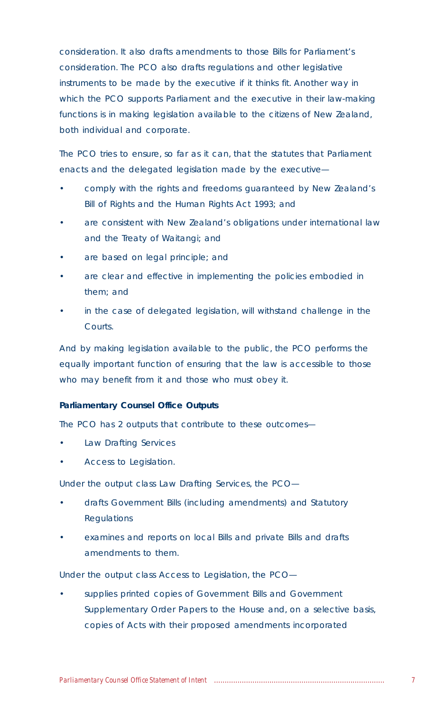consideration. It also drafts amendments to those Bills for Parliament's consideration. The PCO also drafts regulations and other legislative instruments to be made by the executive if it thinks fit. Another way in which the PCO supports Parliament and the executive in their law-making functions is in making legislation available to the citizens of New Zealand, both individual and corporate.

The PCO tries to ensure, so far as it can, that the statutes that Parliament enacts and the delegated legislation made by the executive—

- comply with the rights and freedoms guaranteed by New Zealand's Bill of Rights and the Human Rights Act 1993; and
- are consistent with New Zealand's obligations under international law and the Treaty of Waitangi; and
- are based on legal principle; and
- are clear and effective in implementing the policies embodied in them; and
- in the case of delegated legislation, will withstand challenge in the Courts.

And by making legislation available to the public, the PCO performs the equally important function of ensuring that the law is accessible to those who may benefit from it and those who must obey it.

## **Parliamentary Counsel Office Outputs**

The PCO has 2 outputs that contribute to these outcomes—

- Law Drafting Services
- Access to Legislation.

Under the output class Law Drafting Services, the PCO—

- drafts Government Bills (including amendments) and Statutory **Regulations**
- examines and reports on local Bills and private Bills and drafts amendments to them.

Under the output class Access to Legislation, the PCO—

supplies printed copies of Government Bills and Government Supplementary Order Papers to the House and, on a selective basis, copies of Acts with their proposed amendments incorporated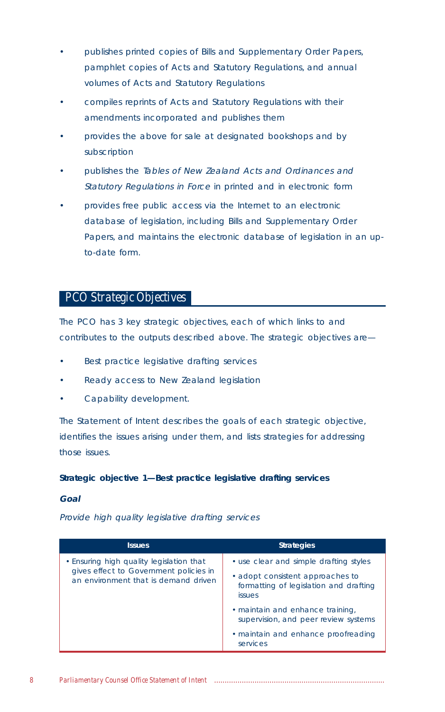- publishes printed copies of Bills and Supplementary Order Papers, pamphlet copies of Acts and Statutory Regulations, and annual volumes of Acts and Statutory Regulations
- compiles reprints of Acts and Statutory Regulations with their amendments incorporated and publishes them
- provides the above for sale at designated bookshops and by subscription
- publishes the Tables of New Zealand Acts and Ordinances and Statutory Regulations in Force in printed and in electronic form
- provides free public access via the Internet to an electronic database of legislation, including Bills and Supplementary Order Papers, and maintains the electronic database of legislation in an upto-date form.

## *PCO Strategic Objectives*

The PCO has 3 key strategic objectives, each of which links to and contributes to the outputs described above. The strategic objectives are—

- Best practice legislative drafting services
- Ready access to New Zealand legislation
- Capability development.

The Statement of Intent describes the goals of each strategic objective, identifies the issues arising under them, and lists strategies for addressing those issues.

## **Strategic objective 1—Best practice legislative drafting services**

## **Goal**

Provide high quality legislative drafting services

| <b>Issues</b>                                                                                                              | <b>Strategies</b>                                                                                                                     |
|----------------------------------------------------------------------------------------------------------------------------|---------------------------------------------------------------------------------------------------------------------------------------|
| • Ensuring high quality legislation that<br>gives effect to Government policies in<br>an environment that is demand driven | • use clear and simple drafting styles<br>• adopt consistent approaches to<br>formatting of legislation and drafting<br><i>issues</i> |
|                                                                                                                            | • maintain and enhance training,<br>supervision, and peer review systems<br>• maintain and enhance proofreading<br>services           |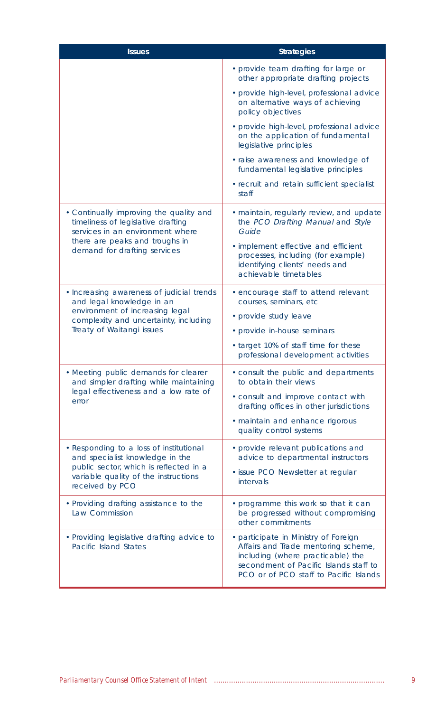| <b>Issues</b>                                                                                                                                                                       | <b>Strategies</b>                                                                                                                                                                                                              |
|-------------------------------------------------------------------------------------------------------------------------------------------------------------------------------------|--------------------------------------------------------------------------------------------------------------------------------------------------------------------------------------------------------------------------------|
|                                                                                                                                                                                     | • provide team drafting for large or<br>other appropriate drafting projects                                                                                                                                                    |
|                                                                                                                                                                                     | · provide high-level, professional advice<br>on alternative ways of achieving<br>policy objectives                                                                                                                             |
|                                                                                                                                                                                     | · provide high-level, professional advice<br>on the application of fundamental<br>legislative principles                                                                                                                       |
|                                                                                                                                                                                     | · raise awareness and knowledge of<br>fundamental legislative principles                                                                                                                                                       |
|                                                                                                                                                                                     | · recruit and retain sufficient specialist<br>staff                                                                                                                                                                            |
| • Continually improving the quality and<br>timeliness of legislative drafting<br>services in an environment where<br>there are peaks and troughs in<br>demand for drafting services | · maintain, regularly review, and update<br>the PCO Drafting Manual and Style<br>Guide<br>· implement effective and efficient<br>processes, including (for example)<br>identifying clients' needs and<br>achievable timetables |
| • Increasing awareness of judicial trends<br>and legal knowledge in an<br>environment of increasing legal<br>complexity and uncertainty, including<br>Treaty of Waitangi issues     | • encourage staff to attend relevant<br>courses, seminars, etc<br>• provide study leave<br>• provide in-house seminars<br>• target 10% of staff time for these<br>professional development activities                          |
| • Meeting public demands for clearer<br>and simpler drafting while maintaining<br>legal effectiveness and a low rate of<br>error                                                    | · consult the public and departments<br>to obtain their views<br>· consult and improve contact with<br>drafting offices in other jurisdictions<br>· maintain and enhance rigorous<br>quality control systems                   |
| · Responding to a loss of institutional<br>and specialist knowledge in the<br>public sector, which is reflected in a<br>variable quality of the instructions<br>received by PCO     | • provide relevant publications and<br>advice to departmental instructors<br>· issue PCO Newsletter at regular<br><i>intervals</i>                                                                                             |
| • Providing drafting assistance to the<br>Law Commission                                                                                                                            | • programme this work so that it can<br>be progressed without compromising<br>other commitments                                                                                                                                |
| • Providing legislative drafting advice to<br>Pacific Island States                                                                                                                 | · participate in Ministry of Foreign<br>Affairs and Trade mentoring scheme,<br>including (where practicable) the<br>secondment of Pacific Islands staff to<br>PCO or of PCO staff to Pacific Islands                           |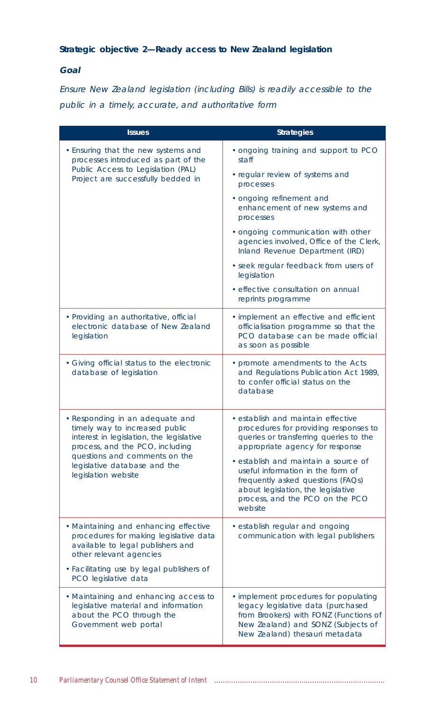## **Strategic objective 2—Ready access to New Zealand legislation**

## **Goal**

Ensure New Zealand legislation (including Bills) is readily accessible to the public in a timely, accurate, and authoritative form

| <b>Issues</b>                                                                                                                                                                                                                            | <b>Strategies</b>                                                                                                                                                                                                                                                                                                                                              |
|------------------------------------------------------------------------------------------------------------------------------------------------------------------------------------------------------------------------------------------|----------------------------------------------------------------------------------------------------------------------------------------------------------------------------------------------------------------------------------------------------------------------------------------------------------------------------------------------------------------|
| . Ensuring that the new systems and<br>processes introduced as part of the                                                                                                                                                               | . ongoing training and support to PCO<br>staff                                                                                                                                                                                                                                                                                                                 |
| Public Access to Legislation (PAL)<br>Project are successfully bedded in                                                                                                                                                                 | • regular review of systems and<br>processes                                                                                                                                                                                                                                                                                                                   |
|                                                                                                                                                                                                                                          | · ongoing refinement and<br>enhancement of new systems and<br>processes                                                                                                                                                                                                                                                                                        |
|                                                                                                                                                                                                                                          | . ongoing communication with other<br>agencies involved, Office of the Clerk,<br>Inland Revenue Department (IRD)                                                                                                                                                                                                                                               |
|                                                                                                                                                                                                                                          | · seek regular feedback from users of<br>legislation                                                                                                                                                                                                                                                                                                           |
|                                                                                                                                                                                                                                          | · effective consultation on annual<br>reprints programme                                                                                                                                                                                                                                                                                                       |
| · Providing an authoritative, official<br>electronic database of New Zealand<br>legislation                                                                                                                                              | · implement an effective and efficient<br>officialisation programme so that the<br>PCO database can be made official<br>as soon as possible                                                                                                                                                                                                                    |
| • Giving official status to the electronic<br>database of legislation                                                                                                                                                                    | • promote amendments to the Acts<br>and Regulations Publication Act 1989,<br>to confer official status on the<br>database                                                                                                                                                                                                                                      |
| · Responding in an adequate and<br>timely way to increased public<br>interest in legislation, the legislative<br>process, and the PCO, including<br>questions and comments on the<br>legislative database and the<br>legislation website | · establish and maintain effective<br>procedures for providing responses to<br>queries or transferring queries to the<br>appropriate agency for response<br>· establish and maintain a source of<br>useful information in the form of<br>frequently asked questions (FAQs)<br>about legislation, the legislative<br>process, and the PCO on the PCO<br>website |
| • Maintaining and enhancing effective<br>procedures for making legislative data<br>available to legal publishers and<br>other relevant agencies<br>· Facilitating use by legal publishers of<br>PCO legislative data                     | · establish regular and ongoing<br>communication with legal publishers                                                                                                                                                                                                                                                                                         |
| · Maintaining and enhancing access to<br>legislative material and information<br>about the PCO through the<br>Government web portal                                                                                                      | · implement procedures for populating<br>legacy legislative data (purchased<br>from Brookers) with FONZ (Functions of<br>New Zealand) and SONZ (Subjects of<br>New Zealand) thesauri metadata                                                                                                                                                                  |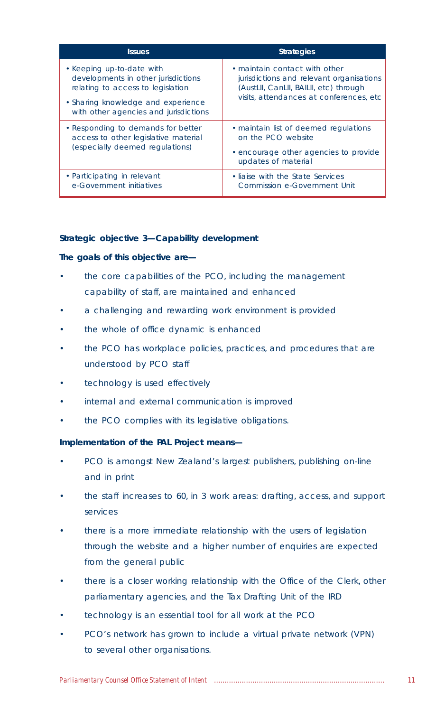| <b>Issues</b>                                                                                                                                                                        | <b>Strategies</b>                                                                                                                                               |
|--------------------------------------------------------------------------------------------------------------------------------------------------------------------------------------|-----------------------------------------------------------------------------------------------------------------------------------------------------------------|
| • Keeping up-to-date with<br>developments in other jurisdictions<br>relating to access to legislation<br>• Sharing knowledge and experience<br>with other agencies and jurisdictions | • maintain contact with other<br>jurisdictions and relevant organisations<br>(AustLII, CanLII, BAILII, etc) through<br>visits, attendances at conferences, etc. |
| • Responding to demands for better<br>access to other legislative material<br>(especially deemed regulations)                                                                        | • maintain list of deemed regulations<br>on the PCO website<br>• encourage other agencies to provide<br>updates of material                                     |
| • Participating in relevant<br>e-Government initiatives                                                                                                                              | • liaise with the State Services<br>Commission e-Government Unit                                                                                                |

#### **Strategic objective 3—Capability development**

#### **The goals of this objective are—**

- the core capabilities of the PCO, including the management capability of staff, are maintained and enhanced
- a challenging and rewarding work environment is provided
- the whole of office dynamic is enhanced
- the PCO has workplace policies, practices, and procedures that are understood by PCO staff
- technology is used effectively
- internal and external communication is improved
- the PCO complies with its legislative obligations.

## **Implementation of the PAL Project means—**

- PCO is amongst New Zealand's largest publishers, publishing on-line and in print
- the staff increases to 60, in 3 work areas: drafting, access, and support services
- there is a more immediate relationship with the users of legislation through the website and a higher number of enquiries are expected from the general public
- there is a closer working relationship with the Office of the Clerk, other parliamentary agencies, and the Tax Drafting Unit of the IRD
- technology is an essential tool for all work at the PCO
- PCO's network has grown to include a virtual private network (VPN) to several other organisations.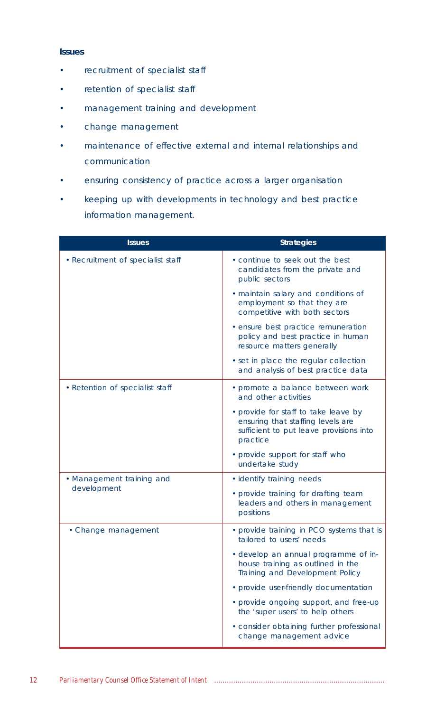## **Issues**

- recruitment of specialist staff
- retention of specialist staff
- management training and development
- change management
- maintenance of effective external and internal relationships and communication
- ensuring consistency of practice across a larger organisation
- keeping up with developments in technology and best practice information management.

| <b>Issues</b>                     | <b>Strategies</b>                                                                                                                |  |
|-----------------------------------|----------------------------------------------------------------------------------------------------------------------------------|--|
| • Recruitment of specialist staff | • continue to seek out the best<br>candidates from the private and<br>public sectors                                             |  |
|                                   | · maintain salary and conditions of<br>employment so that they are<br>competitive with both sectors                              |  |
|                                   | • ensure best practice remuneration<br>policy and best practice in human<br>resource matters generally                           |  |
|                                   | • set in place the regular collection<br>and analysis of best practice data                                                      |  |
| • Retention of specialist staff   | • promote a balance between work<br>and other activities                                                                         |  |
|                                   | • provide for staff to take leave by<br>ensuring that staffing levels are<br>sufficient to put leave provisions into<br>practice |  |
|                                   | • provide support for staff who<br>undertake study                                                                               |  |
| • Management training and         | · identify training needs                                                                                                        |  |
| development                       | • provide training for drafting team<br>leaders and others in management<br>positions                                            |  |
| • Change management               | • provide training in PCO systems that is<br>tailored to users' needs                                                            |  |
|                                   | • develop an annual programme of in-<br>house training as outlined in the<br>Training and Development Policy                     |  |
|                                   | • provide user-friendly documentation                                                                                            |  |
|                                   | • provide ongoing support, and free-up<br>the 'super users' to help others                                                       |  |
|                                   | • consider obtaining further professional<br>change management advice                                                            |  |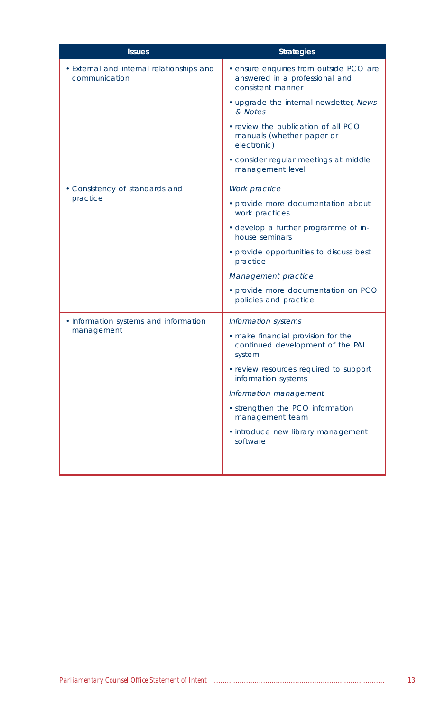| <b>Issues</b>                                              | <b>Strategies</b>                                                                                                                          |  |
|------------------------------------------------------------|--------------------------------------------------------------------------------------------------------------------------------------------|--|
| • External and internal relationships and<br>communication | · ensure enquiries from outside PCO are<br>answered in a professional and<br>consistent manner                                             |  |
|                                                            | • upgrade the internal newsletter, News<br>& Notes                                                                                         |  |
|                                                            | • review the publication of all PCO<br>manuals (whether paper or<br>electronic)                                                            |  |
|                                                            | • consider regular meetings at middle<br>management level                                                                                  |  |
| • Consistency of standards and                             | Work practice                                                                                                                              |  |
| practice                                                   | • provide more documentation about<br>work practices                                                                                       |  |
|                                                            | · develop a further programme of in-<br>house seminars                                                                                     |  |
|                                                            | • provide opportunities to discuss best<br>practice<br>Management practice<br>• provide more documentation on PCO<br>policies and practice |  |
|                                                            |                                                                                                                                            |  |
|                                                            |                                                                                                                                            |  |
| • Information systems and information                      | Information systems                                                                                                                        |  |
| management                                                 | • make financial provision for the<br>continued development of the PAL<br>system                                                           |  |
|                                                            | • review resources required to support<br>information systems                                                                              |  |
|                                                            | Information management                                                                                                                     |  |
|                                                            | • strengthen the PCO information<br>management team                                                                                        |  |
|                                                            | · introduce new library management<br>software                                                                                             |  |
|                                                            |                                                                                                                                            |  |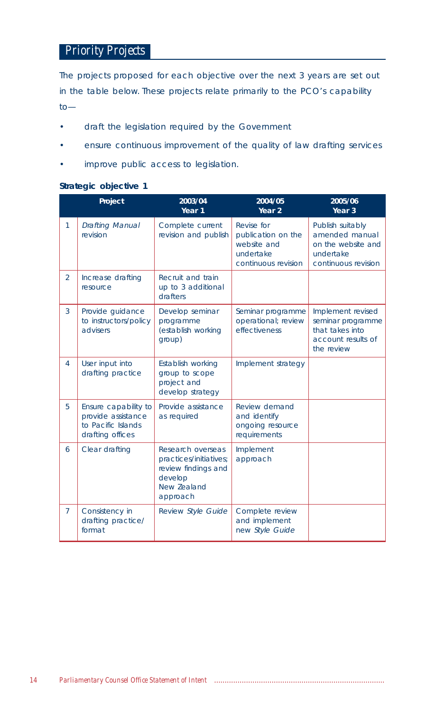# *Priority Projects*

The projects proposed for each objective over the next 3 years are set out in the table below. These projects relate primarily to the PCO's capability to—

- draft the legislation required by the Government
- ensure continuous improvement of the quality of law drafting services
- improve public access to legislation.

## **Strategic objective 1**

|                | Project                                                                              | 2003/04<br>Year 1                                                                                        | 2004/05<br>Year <sub>2</sub>                                                        | 2005/06<br>Year 3                                                                             |
|----------------|--------------------------------------------------------------------------------------|----------------------------------------------------------------------------------------------------------|-------------------------------------------------------------------------------------|-----------------------------------------------------------------------------------------------|
| $\mathbf{1}$   | <b>Drafting Manual</b><br>revision                                                   | Complete current<br>revision and publish                                                                 | Revise for<br>publication on the<br>website and<br>undertake<br>continuous revision | Publish suitably<br>amended manual<br>on the website and<br>undertake<br>continuous revision  |
| $\mathfrak{D}$ | Increase drafting<br>resource                                                        | Recruit and train<br>up to 3 additional<br>drafters                                                      |                                                                                     |                                                                                               |
| 3              | Provide guidance<br>to instructors/policy<br>advisers                                | Develop seminar<br>programme<br>(establish working<br>group)                                             | Seminar programme<br>operational; review<br>effectiveness                           | Implement revised<br>seminar programme<br>that takes into<br>account results of<br>the review |
| $\overline{4}$ | User input into<br>drafting practice                                                 | Establish working<br>group to scope<br>project and<br>develop strategy                                   | Implement strategy                                                                  |                                                                                               |
| 5              | Ensure capability to<br>provide assistance<br>to Pacific Islands<br>drafting offices | Provide assistance<br>as required                                                                        | Review demand<br>and identify<br>ongoing resource<br>requirements                   |                                                                                               |
| 6              | Clear drafting                                                                       | Research overseas<br>practices/initiatives;<br>review findings and<br>develop<br>New Zealand<br>approach | Implement<br>approach                                                               |                                                                                               |
| $\overline{7}$ | Consistency in<br>drafting practice/<br>format                                       | Review Style Guide                                                                                       | Complete review<br>and implement<br>new Style Guide                                 |                                                                                               |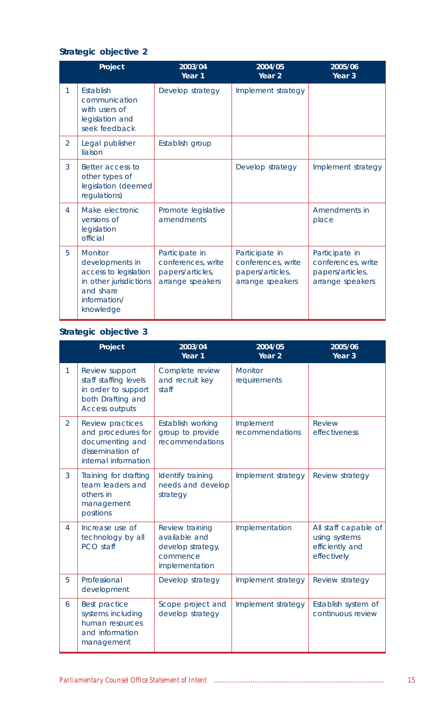## **Strategic objective 2**

|                | Project                                                                                                                 | 2003/04<br>Year 1                                                            | 2004/05<br>Year <sub>2</sub>                                                 | 2005/06<br>Year <sub>3</sub>                                                 |
|----------------|-------------------------------------------------------------------------------------------------------------------------|------------------------------------------------------------------------------|------------------------------------------------------------------------------|------------------------------------------------------------------------------|
| 1              | <b>Fstablish</b><br>communication<br>with users of<br>legislation and<br>seek feedback                                  | Develop strategy                                                             | Implement strategy                                                           |                                                                              |
| $\mathcal{P}$  | Legal publisher<br>liaison                                                                                              | Establish group                                                              |                                                                              |                                                                              |
| 3              | Better access to<br>other types of<br>legislation (deemed<br>regulations)                                               |                                                                              | Develop strategy                                                             | Implement strategy                                                           |
| $\overline{4}$ | Make electronic<br>versions of<br>legislation<br>official                                                               | Promote legislative<br>amendments                                            |                                                                              | Amendments in<br>place                                                       |
| 5              | Monitor<br>developments in<br>access to legislation<br>in other jurisdictions<br>and share<br>information/<br>knowledge | Participate in<br>conferences, write<br>papers/articles,<br>arrange speakers | Participate in<br>conferences, write<br>papers/articles,<br>arrange speakers | Participate in<br>conferences, write<br>papers/articles,<br>arrange speakers |

# **Strategic objective 3**

|               | Project                                                                                                      | 2003/04<br>Year 1                                                                   | 2004/05<br>Year <sub>2</sub> | 2005/06<br>Year <sub>3</sub>                                            |
|---------------|--------------------------------------------------------------------------------------------------------------|-------------------------------------------------------------------------------------|------------------------------|-------------------------------------------------------------------------|
| 1             | Review support<br>staff staffing levels<br>in order to support<br>both Drafting and<br><b>Access outputs</b> | Complete review<br>and recruit key<br>staff                                         | Monitor<br>requirements      |                                                                         |
| $\mathcal{P}$ | Review practices<br>and procedures for<br>documenting and<br>dissemination of<br>internal information        | Establish working<br>group to provide<br>recommendations                            | Implement<br>recommendations | <b>Review</b><br>effectiveness                                          |
| 3             | Training for drafting<br>team leaders and<br>others in<br>management<br>positions                            | Identify training<br>needs and develop<br>strategy                                  | Implement strategy           | Review strategy                                                         |
| 4             | Increase use of<br>technology by all<br>PCO staff                                                            | Review training<br>available and<br>develop strategy,<br>commence<br>implementation | Implementation               | All staff capable of<br>using systems<br>efficiently and<br>effectively |
| 5             | Professional<br>development                                                                                  | Develop strategy                                                                    | Implement strategy           | Review strategy                                                         |
| 6             | Best practice<br>systems including<br>human resources<br>and information<br>management                       | Scope project and<br>develop strategy                                               | Implement strategy           | Establish system of<br>continuous review                                |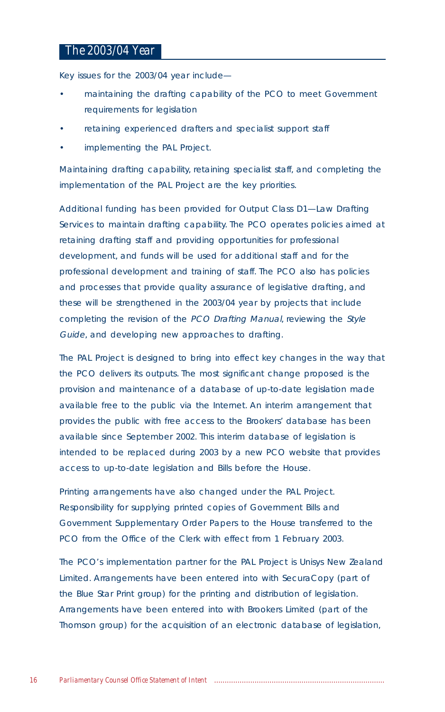## *The 2003/04 Year*

Key issues for the 2003/04 year include—

- maintaining the drafting capability of the PCO to meet Government requirements for legislation
- retaining experienced drafters and specialist support staff
- implementing the PAL Project.

Maintaining drafting capability, retaining specialist staff, and completing the implementation of the PAL Project are the key priorities.

Additional funding has been provided for Output Class D1—Law Drafting Services to maintain drafting capability. The PCO operates policies aimed at retaining drafting staff and providing opportunities for professional development, and funds will be used for additional staff and for the professional development and training of staff. The PCO also has policies and processes that provide quality assurance of legislative drafting, and these will be strengthened in the 2003/04 year by projects that include completing the revision of the PCO Drafting Manual, reviewing the Style Guide, and developing new approaches to drafting.

The PAL Project is designed to bring into effect key changes in the way that the PCO delivers its outputs. The most significant change proposed is the provision and maintenance of a database of up-to-date legislation made available free to the public via the Internet. An interim arrangement that provides the public with free access to the Brookers' database has been available since September 2002. This interim database of legislation is intended to be replaced during 2003 by a new PCO website that provides access to up-to-date legislation and Bills before the House.

Printing arrangements have also changed under the PAL Project. Responsibility for supplying printed copies of Government Bills and Government Supplementary Order Papers to the House transferred to the PCO from the Office of the Clerk with effect from 1 February 2003.

The PCO's implementation partner for the PAL Project is Unisys New Zealand Limited. Arrangements have been entered into with SecuraCopy (part of the Blue Star Print group) for the printing and distribution of legislation. Arrangements have been entered into with Brookers Limited (part of the Thomson group) for the acquisition of an electronic database of legislation,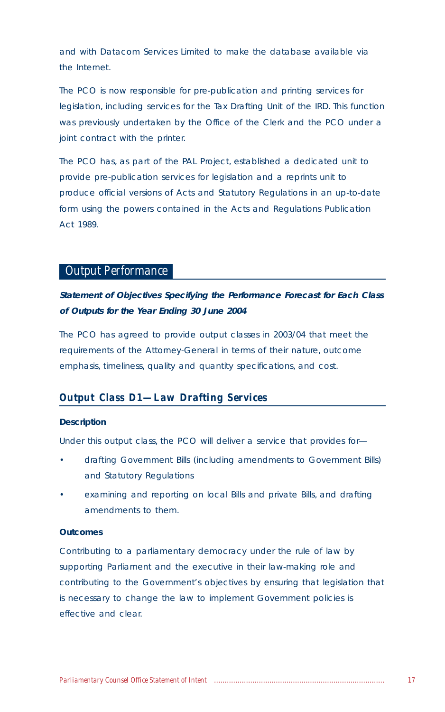and with Datacom Services Limited to make the database available via the Internet.

The PCO is now responsible for pre-publication and printing services for legislation, including services for the Tax Drafting Unit of the IRD. This function was previously undertaken by the Office of the Clerk and the PCO under a joint contract with the printer.

The PCO has, as part of the PAL Project, established a dedicated unit to provide pre-publication services for legislation and a reprints unit to produce official versions of Acts and Statutory Regulations in an up-to-date form using the powers contained in the Acts and Regulations Publication Act 1989.

## *Output Performance*

## **Statement of Objectives Specifying the Performance Forecast for Each Class of Outputs for the Year Ending 30 June 2004**

The PCO has agreed to provide output classes in 2003/04 that meet the requirements of the Attorney-General in terms of their nature, outcome emphasis, timeliness, quality and quantity specifications, and cost.

## *Output Class D1—Law Drafting Services*

#### **Description**

Under this output class, the PCO will deliver a service that provides for—

- drafting Government Bills (including amendments to Government Bills) and Statutory Regulations
- examining and reporting on local Bills and private Bills, and drafting amendments to them.

## **Outcomes**

Contributing to a parliamentary democracy under the rule of law by supporting Parliament and the executive in their law-making role and contributing to the Government's objectives by ensuring that legislation that is necessary to change the law to implement Government policies is effective and clear.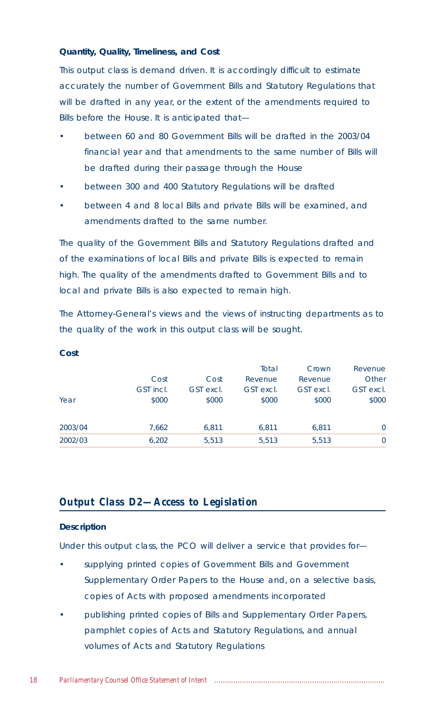#### **Quantity, Quality, Timeliness, and Cost**

This output class is demand driven. It is accordingly difficult to estimate accurately the number of Government Bills and Statutory Regulations that will be drafted in any year, or the extent of the amendments required to Bills before the House. It is anticipated that—

- between 60 and 80 Government Bills will be drafted in the 2003/04 financial year and that amendments to the same number of Bills will be drafted during their passage through the House
- between 300 and 400 Statutory Regulations will be drafted
- between 4 and 8 local Bills and private Bills will be examined, and amendments drafted to the same number.

The quality of the Government Bills and Statutory Regulations drafted and of the examinations of local Bills and private Bills is expected to remain high. The quality of the amendments drafted to Government Bills and to local and private Bills is also expected to remain high.

The Attorney-General's views and the views of instructing departments as to the quality of the work in this output class will be sought.

|         |           |           | Total     | Crown     | Revenue   |
|---------|-----------|-----------|-----------|-----------|-----------|
|         | Cost      | Cost      | Revenue   | Revenue   | Other     |
|         | GST incl. | GST excl. | GST excl. | GST excl. | GST excl. |
| Year    | \$000     | \$000     | \$000     | \$000     | \$000     |
|         |           |           |           |           |           |
| 2003/04 | 7.662     | 6.811     | 6.811     | 6.811     | $\Omega$  |
| 2002/03 | 6,202     | 5,513     | 5.513     | 5,513     | 0         |

#### **Cost**

## *Output Class D2—Access to Legislation*

#### **Description**

Under this output class, the PCO will deliver a service that provides for—

- supplying printed copies of Government Bills and Government Supplementary Order Papers to the House and, on a selective basis, copies of Acts with proposed amendments incorporated
- publishing printed copies of Bills and Supplementary Order Papers, pamphlet copies of Acts and Statutory Regulations, and annual volumes of Acts and Statutory Regulations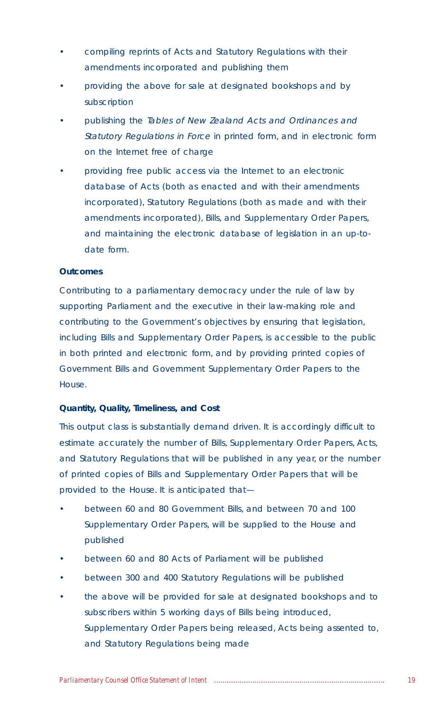- compiling reprints of Acts and Statutory Regulations with their amendments incorporated and publishing them
- providing the above for sale at designated bookshops and by subscription
- publishing the Tables of New Zealand Acts and Ordinances and Statutory Regulations in Force in printed form, and in electronic form on the Internet free of charge
- providing free public access via the Internet to an electronic database of Acts (both as enacted and with their amendments incorporated), Statutory Regulations (both as made and with their amendments incorporated), Bills, and Supplementary Order Papers, and maintaining the electronic database of legislation in an up-todate form.

## **Outcomes**

Contributing to a parliamentary democracy under the rule of law by supporting Parliament and the executive in their law-making role and contributing to the Government's objectives by ensuring that legislation, including Bills and Supplementary Order Papers, is accessible to the public in both printed and electronic form, and by providing printed copies of Government Bills and Government Supplementary Order Papers to the House.

#### **Quantity, Quality, Timeliness, and Cost**

This output class is substantially demand driven. It is accordingly difficult to estimate accurately the number of Bills, Supplementary Order Papers, Acts, and Statutory Regulations that will be published in any year, or the number of printed copies of Bills and Supplementary Order Papers that will be provided to the House. It is anticipated that—

- between 60 and 80 Government Bills, and between 70 and 100 Supplementary Order Papers, will be supplied to the House and published
- between 60 and 80 Acts of Parliament will be published
- between 300 and 400 Statutory Regulations will be published
- the above will be provided for sale at designated bookshops and to subscribers within 5 working days of Bills being introduced, Supplementary Order Papers being released, Acts being assented to, and Statutory Regulations being made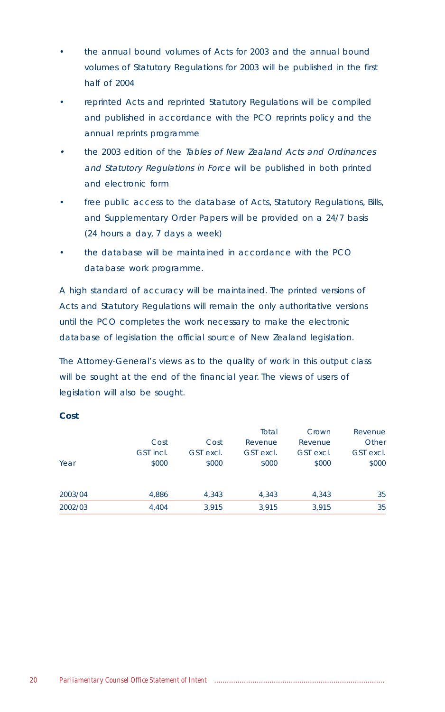- the annual bound volumes of Acts for 2003 and the annual bound volumes of Statutory Regulations for 2003 will be published in the first half of 2004
- reprinted Acts and reprinted Statutory Regulations will be compiled and published in accordance with the PCO reprints policy and the annual reprints programme
- • the 2003 edition of the Tables of New Zealand Acts and Ordinances and Statutory Regulations in Force will be published in both printed and electronic form
- free public access to the database of Acts, Statutory Regulations, Bills, and Supplementary Order Papers will be provided on a 24/7 basis (24 hours a day, 7 days a week)
- the database will be maintained in accordance with the PCO database work programme.

A high standard of accuracy will be maintained. The printed versions of Acts and Statutory Regulations will remain the only authoritative versions until the PCO completes the work necessary to make the electronic database of legislation the official source of New Zealand legislation.

The Attorney-General's views as to the quality of work in this output class will be sought at the end of the financial year. The views of users of legislation will also be sought.

#### **Cost**

|         |           |           | Total     | Crown     | Revenue   |
|---------|-----------|-----------|-----------|-----------|-----------|
|         | Cost      | Cost      | Revenue   | Revenue   | Other     |
|         | GST incl. | GST excl. | GST excl. | GST excl. | GST excl. |
| Year    | \$000     | \$000     | \$000     | \$000     | \$000     |
| 2003/04 | 4.886     | 4.343     | 4,343     | 4,343     | 35        |
| 2002/03 | 4.404     | 3.915     | 3.915     | 3,915     | 35        |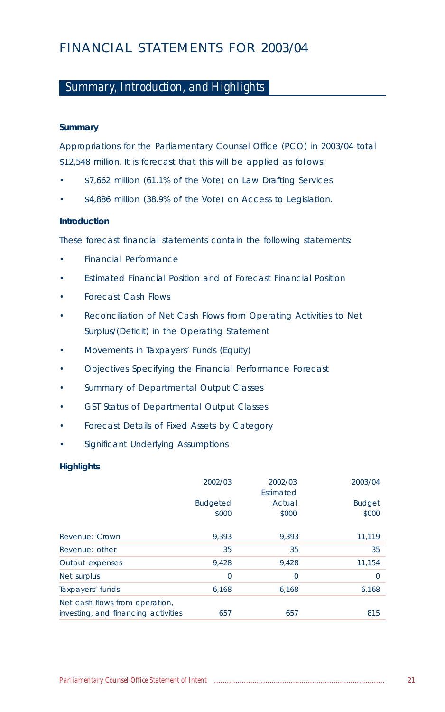# FINANCIAL STATEMENTS FOR 2003/04

# *Summary, Introduction, and Highlights*

## **Summary**

Appropriations for the Parliamentary Counsel Office (PCO) in 2003/04 total \$12,548 million. It is forecast that this will be applied as follows:

- \$7,662 million (61.1% of the Vote) on Law Drafting Services
- \$4,886 million (38.9% of the Vote) on Access to Legislation.

## **Introduction**

These forecast financial statements contain the following statements:

- Financial Performance
- Estimated Financial Position and of Forecast Financial Position
- Forecast Cash Flows
- Reconciliation of Net Cash Flows from Operating Activities to Net Surplus/(Deficit) in the Operating Statement
- Movements in Taxpayers' Funds (Equity)
- Objectives Specifying the Financial Performance Forecast
- Summary of Departmental Output Classes
- GST Status of Departmental Output Classes
- Forecast Details of Fixed Assets by Category
- Significant Underlying Assumptions

## **Highlights**

|                                     | 2002/03         | 2002/03        | 2003/04       |
|-------------------------------------|-----------------|----------------|---------------|
|                                     |                 | Estimated      |               |
|                                     | <b>Budgeted</b> | Actual         | <b>Budget</b> |
|                                     | \$000           | \$000          | \$000         |
|                                     |                 |                |               |
| Revenue: Crown                      | 9.393           | 9.393          | 11,119        |
| Revenue: other                      | 35              | 35             | 35            |
| Output expenses                     | 9,428           | 9,428          | 11,154        |
| Net surplus                         | $\Omega$        | $\overline{0}$ | $\Omega$      |
| Taxpayers' funds                    | 6,168           | 6,168          | 6,168         |
| Net cash flows from operation,      |                 |                |               |
| investing, and financing activities | 657             | 657            | 815           |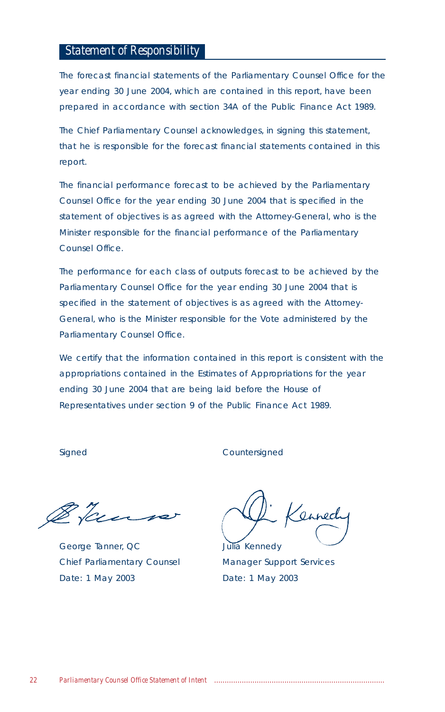## *Statement of Responsibility*

The forecast financial statements of the Parliamentary Counsel Office for the year ending 30 June 2004, which are contained in this report, have been prepared in accordance with section 34A of the Public Finance Act 1989.

The Chief Parliamentary Counsel acknowledges, in signing this statement, that he is responsible for the forecast financial statements contained in this report.

The financial performance forecast to be achieved by the Parliamentary Counsel Office for the year ending 30 June 2004 that is specified in the statement of objectives is as agreed with the Attorney-General, who is the Minister responsible for the financial performance of the Parliamentary Counsel Office.

The performance for each class of outputs forecast to be achieved by the Parliamentary Counsel Office for the year ending 30 June 2004 that is specified in the statement of objectives is as agreed with the Attorney-General, who is the Minister responsible for the Vote administered by the Parliamentary Counsel Office.

We certify that the information contained in this report is consistent with the appropriations contained in the Estimates of Appropriations for the year ending 30 June 2004 that are being laid before the House of Representatives under section 9 of the Public Finance Act 1989.

Signed Countersigned

Her-

George Tanner, QC Julia Kennedy Chief Parliamentary Counsel Manager Support Services Date: 1 May 2003 Date: 1 May 2003

Kennech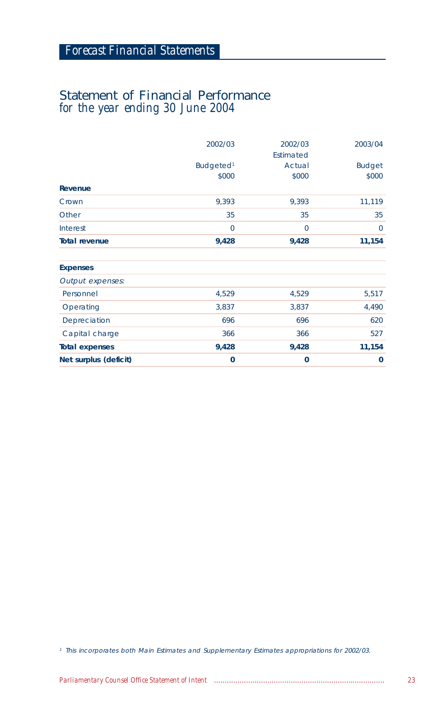# Statement of Financial Performance *for the year ending 30 June 2004*

|                       | 2002/03                        | 2002/03<br>Estimated | 2003/04                |
|-----------------------|--------------------------------|----------------------|------------------------|
|                       | Budgeted <sup>1</sup><br>\$000 | Actual<br>\$000      | <b>Budget</b><br>\$000 |
| Revenue               |                                |                      |                        |
| Crown                 | 9,393                          | 9,393                | 11,119                 |
| Other                 | 35                             | 35                   | 35                     |
| Interest              | $\mathbf 0$                    | $\mathbf 0$          | $\mathbf{0}$           |
| <b>Total revenue</b>  | 9,428                          | 9,428                | 11,154                 |
| <b>Expenses</b>       |                                |                      |                        |
| Output expenses:      |                                |                      |                        |
| Personnel             | 4,529                          | 4,529                | 5,517                  |
| Operating             | 3,837                          | 3,837                | 4,490                  |
| Depreciation          | 696                            | 696                  | 620                    |
| Capital charge        | 366                            | 366                  | 527                    |
| <b>Total expenses</b> | 9,428                          | 9,428                | 11,154                 |
| Net surplus (deficit) | $\mathbf 0$                    | $\mathbf 0$          | 0                      |

<sup>1</sup> This incorporates both Main Estimates and Supplementary Estimates appropriations for 2002/03.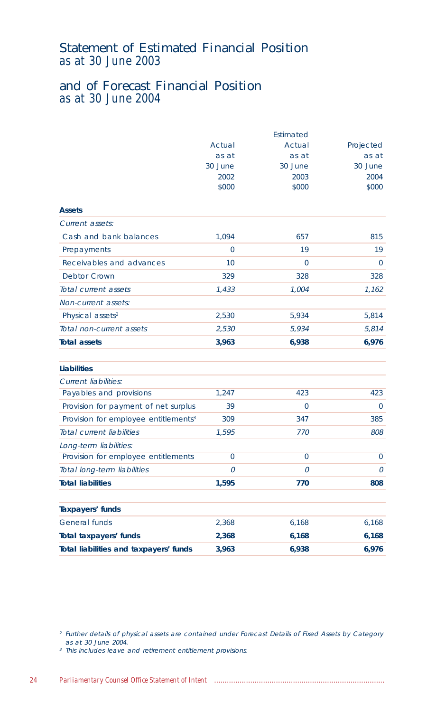# Statement of Estimated Financial Position *as at 30 June 2003*

# and of Forecast Financial Position *as at 30 June 2004*

|                                                  |              | Estimated      |              |
|--------------------------------------------------|--------------|----------------|--------------|
|                                                  | Actual       | Actual         | Projected    |
|                                                  | as at        | as at          | as at        |
|                                                  | 30 June      | 30 June        | 30 June      |
|                                                  | 2002         | 2003           | 2004         |
|                                                  | \$000        | \$000          | \$000        |
| <b>Assets</b>                                    |              |                |              |
| Current assets:                                  |              |                |              |
| Cash and bank balances                           | 1,094        | 657            | 815          |
| Prepayments                                      | $\mathbf{0}$ | 19             | 19           |
| Receivables and advances                         | 10           | 0              | $\mathbf{0}$ |
| <b>Debtor Crown</b>                              | 329          | 328            | 328          |
| Total current assets                             | 1,433        | 1,004          | 1,162        |
| Non-current assets:                              |              |                |              |
| Physical assets <sup>2</sup>                     | 2,530        | 5,934          | 5,814        |
| Total non-current assets                         | 2,530        | 5,934          | 5,814        |
| <b>Total assets</b>                              | 3,963        | 6,938          | 6,976        |
| <b>Liabilities</b>                               |              |                |              |
| <b>Current liabilities:</b>                      |              |                |              |
| Payables and provisions                          | 1,247        | 423            | 423          |
| Provision for payment of net surplus             | 39           | $\overline{0}$ | $\mathbf{0}$ |
| Provision for employee entitlements <sup>3</sup> | 309          | 347            | 385          |
| Total current liabilities                        | 1,595        | 770            | 808          |
| Long-term liabilities:                           |              |                |              |
| Provision for employee entitlements              | $\mathbf{0}$ | 0              | 0            |
| Total long-term liabilities                      | 0            | 0              | 0            |
| <b>Total liabilities</b>                         | 1,595        | 770            | 808          |
| <b>Taxpayers' funds</b>                          |              |                |              |
| <b>General funds</b>                             | 2,368        | 6,168          | 6,168        |
| Total taxpayers' funds                           | 2,368        | 6,168          | 6,168        |
| Total liabilities and taxpayers' funds           | 3,963        | 6,938          | 6,976        |

<sup>2</sup> Further details of physical assets are contained under Forecast Details of Fixed Assets by Category as at 30 June 2004.

<sup>3</sup> This includes leave and retirement entitlement provisions.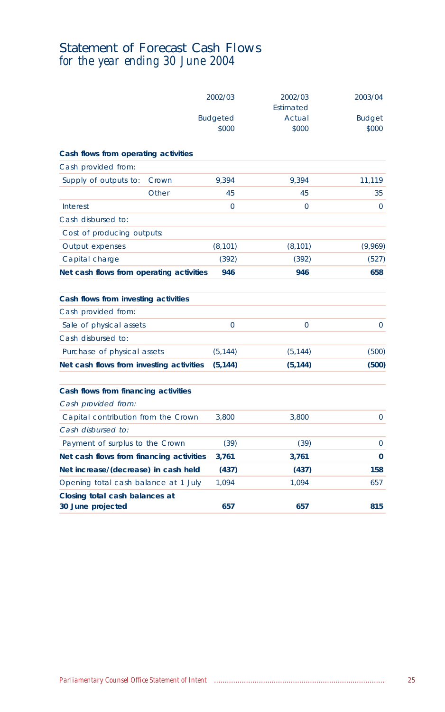# Statement of Forecast Cash Flows *for the year ending 30 June 2004*

|                                                     |       | 2002/03                  | 2002/03<br>Estimated | 2003/04                |
|-----------------------------------------------------|-------|--------------------------|----------------------|------------------------|
|                                                     |       | <b>Budgeted</b><br>\$000 | Actual<br>\$000      | <b>Budget</b><br>\$000 |
| Cash flows from operating activities                |       |                          |                      |                        |
| Cash provided from:                                 |       |                          |                      |                        |
| Supply of outputs to:                               | Crown | 9,394                    | 9,394                | 11,119                 |
|                                                     | Other | 45                       | 45                   | 35                     |
| Interest                                            |       | $\Omega$                 | 0                    | $\Omega$               |
| Cash disbursed to:                                  |       |                          |                      |                        |
| Cost of producing outputs:                          |       |                          |                      |                        |
| Output expenses                                     |       | (8, 101)                 | (8, 101)             | (9,969)                |
| Capital charge                                      |       | (392)                    | (392)                | (527)                  |
| Net cash flows from operating activities            |       | 946                      | 946                  | 658                    |
| Cash flows from investing activities                |       |                          |                      |                        |
| Cash provided from:                                 |       |                          |                      |                        |
| Sale of physical assets                             |       | $\Omega$                 | 0                    | $\mathbf{0}$           |
| Cash disbursed to:                                  |       |                          |                      |                        |
| Purchase of physical assets                         |       | (5, 144)                 | (5, 144)             | (500)                  |
| Net cash flows from investing activities            |       | (5, 144)                 | (5, 144)             | (500)                  |
| Cash flows from financing activities                |       |                          |                      |                        |
| Cash provided from:                                 |       |                          |                      |                        |
| Capital contribution from the Crown                 |       | 3,800                    | 3,800                | $\mathbf{0}$           |
| Cash disbursed to:                                  |       |                          |                      |                        |
| Payment of surplus to the Crown                     |       | (39)                     | (39)                 | $\mathbf{0}$           |
| Net cash flows from financing activities            |       | 3,761                    | 3,761                | $\mathbf{0}$           |
| Net increase/(decrease) in cash held                |       | (437)                    | (437)                | 158                    |
| Opening total cash balance at 1 July                |       | 1.094                    | 1,094                | 657                    |
| Closing total cash balances at<br>30 June projected |       | 657                      | 657                  | 815                    |
|                                                     |       |                          |                      |                        |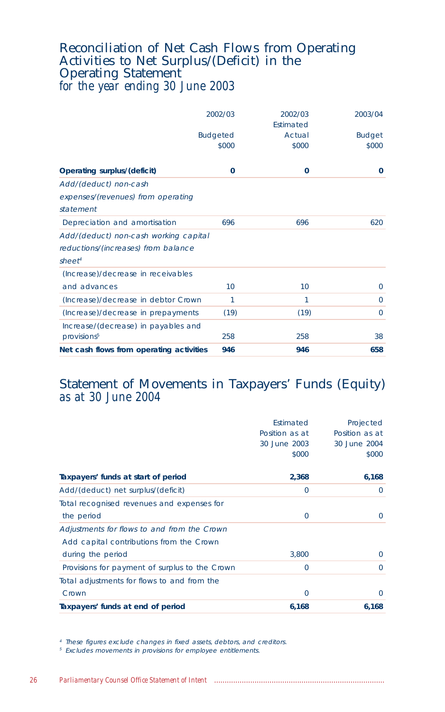# Reconciliation of Net Cash Flows from Operating Activities to Net Surplus/(Deficit) in the Operating Statement *for the year ending 30 June 2003*

|                                          | 2002/03                  | 2002/03<br><b>Fstimated</b> | 2003/04                |
|------------------------------------------|--------------------------|-----------------------------|------------------------|
|                                          | <b>Budgeted</b><br>\$000 | Actual<br>\$000             | <b>Budget</b><br>\$000 |
| Operating surplus/(deficit)              | $\mathbf{0}$             | 0                           | $\mathbf{0}$           |
| Add/(deduct) non-cash                    |                          |                             |                        |
| expenses/(revenues) from operating       |                          |                             |                        |
| statement                                |                          |                             |                        |
| Depreciation and amortisation            | 696                      | 696                         | 620                    |
| Add/(deduct) non-cash working capital    |                          |                             |                        |
| reductions/(increases) from balance      |                          |                             |                        |
| sheet <sup>4</sup>                       |                          |                             |                        |
| (Increase)/decrease in receivables       |                          |                             |                        |
| and advances                             | 10                       | 10                          | $\mathbf{0}$           |
| (Increase)/decrease in debtor Crown      | 1                        | 1                           | 0                      |
| (Increase)/decrease in prepayments       | (19)                     | (19)                        | $\mathbf 0$            |
| Increase/(decrease) in payables and      |                          |                             |                        |
| provisions <sup>5</sup>                  | 258                      | 258                         | 38                     |
| Net cash flows from operating activities | 946                      | 946                         | 658                    |

# Statement of Movements in Taxpayers' Funds (Equity) *as at 30 June 2004*

| Taxpayers' funds at end of period              | 6,168          | 6,168          |
|------------------------------------------------|----------------|----------------|
| Crown                                          | $\overline{0}$ | $\Omega$       |
| Total adjustments for flows to and from the    |                |                |
| Provisions for payment of surplus to the Crown | $\mathbf 0$    | $\Omega$       |
| during the period                              | 3,800          | $\Omega$       |
| Add capital contributions from the Crown       |                |                |
| Adjustments for flows to and from the Crown    |                |                |
| the period                                     | $\circ$        | $\Omega$       |
| Total recognised revenues and expenses for     |                |                |
| Add/(deduct) net surplus/(deficit)             | $\circ$        | $\Omega$       |
| Taxpayers' funds at start of period            | 2,368          | 6,168          |
|                                                | \$000          | \$000          |
|                                                | 30 June 2003   | 30 June 2004   |
|                                                | Position as at | Position as at |
|                                                | Estimated      | Projected      |

<sup>4</sup> These figures exclude changes in fixed assets, debtors, and creditors.

<sup>5</sup> Excludes movements in provisions for employee entitlements.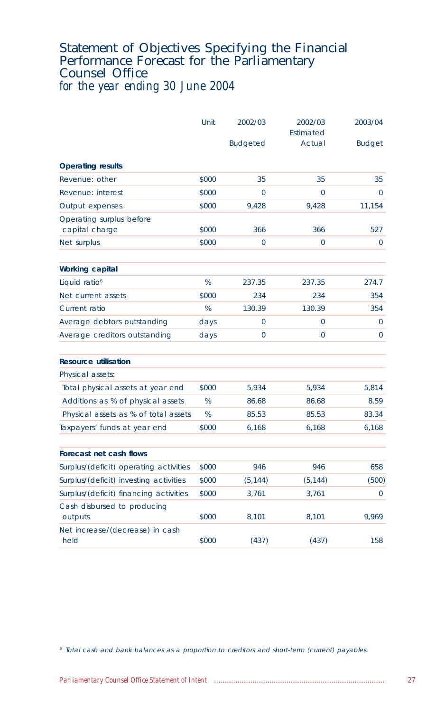## Statement of Objectives Specifying the Financial Performance Forecast for the Parliamentary Counsel Office *for the year ending 30 June 2004*

|                                            | Unit  | 2002/03         | 2002/03<br>Estimated | 2003/04       |
|--------------------------------------------|-------|-----------------|----------------------|---------------|
|                                            |       | <b>Budgeted</b> | Actual               | <b>Budget</b> |
| <b>Operating results</b>                   |       |                 |                      |               |
| Revenue: other                             | \$000 | 35              | 35                   | 35            |
| Revenue: interest                          | \$000 | 0               | $\Omega$             | $\mathbf{0}$  |
| Output expenses                            | \$000 | 9,428           | 9,428                | 11,154        |
| Operating surplus before<br>capital charge | \$000 | 366             | 366                  | 527           |
| Net surplus                                | \$000 | 0               | 0                    | $\mathbf{0}$  |
| <b>Working capital</b>                     |       |                 |                      |               |
| Liquid ratio <sup>6</sup>                  | %     | 237.35          | 237.35               | 274.7         |
| Net current assets                         | \$000 | 234             | 234                  | 354           |
| Current ratio                              | %     | 130.39          | 130.39               | 354           |
| Average debtors outstanding                | days  | $\Omega$        | $\Omega$             | $\mathbf{0}$  |
| Average creditors outstanding              | days  | 0               | 0                    | $\mathbf 0$   |
| <b>Resource utilisation</b>                |       |                 |                      |               |
| Physical assets:                           |       |                 |                      |               |
| Total physical assets at year end          | \$000 | 5,934           | 5,934                | 5,814         |
| Additions as % of physical assets          | %     | 86.68           | 86.68                | 8.59          |
| Physical assets as % of total assets       | %     | 85.53           | 85.53                | 83.34         |
| Taxpayers' funds at year end               | \$000 | 6,168           | 6,168                | 6,168         |
| Forecast net cash flows                    |       |                 |                      |               |
| Surplus/(deficit) operating activities     | \$000 | 946             | 946                  | 658           |
| Surplus/(deficit) investing activities     | \$000 | (5, 144)        | (5, 144)             | (500)         |
| Surplus/(deficit) financing activities     | \$000 | 3,761           | 3,761                | $\mathbf{0}$  |
| Cash disbursed to producing<br>outputs     | \$000 | 8,101           | 8,101                | 9,969         |
| Net increase/(decrease) in cash<br>held    | \$000 | (437)           | (437)                | 158           |

<sup>6</sup> Total cash and bank balances as a proportion to creditors and short-term (current) payables.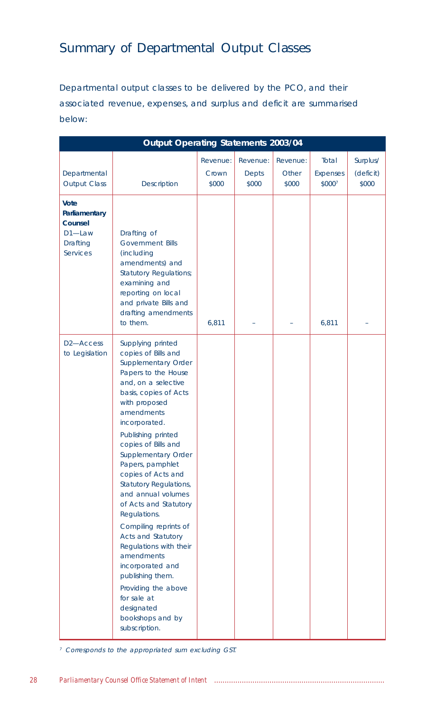# Summary of Departmental Output Classes

Departmental output classes to be delivered by the PCO, and their associated revenue, expenses, and surplus and deficit are summarised below:

|                                                                                  | Output Operating Statements 2003/04                                                                                                                                                                                                                                                                                                                                                                                                                                                                                                                                                                                          |                            |                                   |                            |                                    |                                |
|----------------------------------------------------------------------------------|------------------------------------------------------------------------------------------------------------------------------------------------------------------------------------------------------------------------------------------------------------------------------------------------------------------------------------------------------------------------------------------------------------------------------------------------------------------------------------------------------------------------------------------------------------------------------------------------------------------------------|----------------------------|-----------------------------------|----------------------------|------------------------------------|--------------------------------|
| Departmental<br><b>Output Class</b>                                              | <b>Description</b>                                                                                                                                                                                                                                                                                                                                                                                                                                                                                                                                                                                                           | Revenue:<br>Crown<br>\$000 | Revenue:<br><b>Depts</b><br>\$000 | Revenue:<br>Other<br>\$000 | Total<br><b>Expenses</b><br>\$0007 | Surplus/<br>(deficit)<br>\$000 |
| Vote<br>Parliamentary<br>Counsel<br>D1-Law<br><b>Drafting</b><br><b>Services</b> | Drafting of<br><b>Government Bills</b><br>(including<br>amendments) and<br><b>Statutory Regulations;</b><br>examining and<br>reporting on local<br>and private Bills and<br>drafting amendments<br>to them.                                                                                                                                                                                                                                                                                                                                                                                                                  | 6,811                      |                                   |                            | 6,811                              |                                |
| D <sub>2</sub> -Access<br>to Legislation                                         | Supplying printed<br>copies of Bills and<br>Supplementary Order<br>Papers to the House<br>and, on a selective<br>basis, copies of Acts<br>with proposed<br>amendments<br>incorporated.<br>Publishing printed<br>copies of Bills and<br>Supplementary Order<br>Papers, pamphlet<br>copies of Acts and<br><b>Statutory Regulations,</b><br>and annual volumes<br>of Acts and Statutory<br>Regulations.<br>Compiling reprints of<br>Acts and Statutory<br>Regulations with their<br>amendments<br>incorporated and<br>publishing them.<br>Providing the above<br>for sale at<br>designated<br>bookshops and by<br>subscription. |                            |                                   |                            |                                    |                                |

<sup>7</sup> Corresponds to the appropriated sum excluding GST.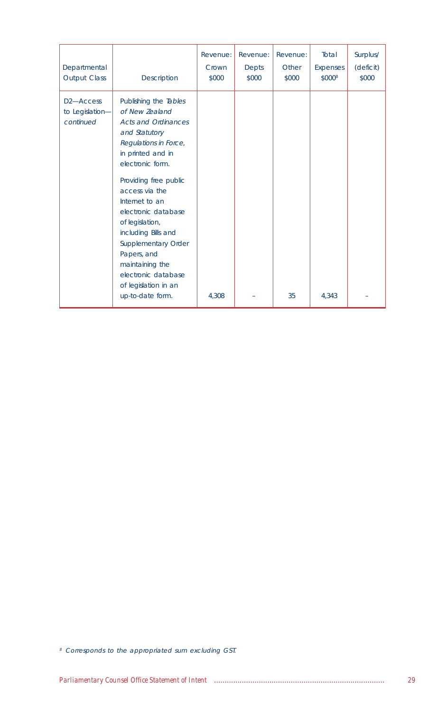| Departmental<br><b>Output Class</b>                    | Description                                                                                                                                                                                                                                                                                                                                                                                                        | Revenue:<br>Crown<br>\$000 | Revenue:<br><b>Depts</b><br>\$000 | Revenue:<br>Other<br>\$000 | Total<br><b>Expenses</b><br>\$000 <sup>8</sup> | Surplus/<br>(deficit)<br>\$000 |
|--------------------------------------------------------|--------------------------------------------------------------------------------------------------------------------------------------------------------------------------------------------------------------------------------------------------------------------------------------------------------------------------------------------------------------------------------------------------------------------|----------------------------|-----------------------------------|----------------------------|------------------------------------------------|--------------------------------|
| D <sub>2</sub> -Access<br>to Legislation-<br>continued | Publishing the Tables<br>of New Zealand<br><b>Acts and Ordinances</b><br>and Statutory<br>Regulations in Force,<br>in printed and in<br>electronic form.<br>Providing free public<br>access via the<br>Internet to an<br>electronic database<br>of legislation,<br>including Bills and<br>Supplementary Order<br>Papers, and<br>maintaining the<br>electronic database<br>of legislation in an<br>up-to-date form. | 4,308                      |                                   | 35                         | 4,343                                          |                                |

<sup>8</sup> Corresponds to the appropriated sum excluding GST.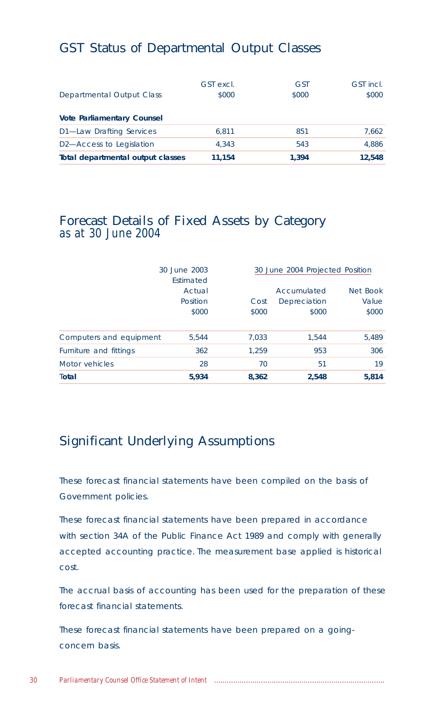# GST Status of Departmental Output Classes

|                                       | GST excl. | <b>GST</b> | GST incl. |
|---------------------------------------|-----------|------------|-----------|
| Departmental Output Class             | \$000     | \$000      | \$000     |
| <b>Vote Parliamentary Counsel</b>     |           |            |           |
| D1-Law Drafting Services              | 6.811     | 851        | 7.662     |
| D <sub>2</sub> -Access to Legislation | 4.343     | 543        | 4.886     |
| Total departmental output classes     | 11.154    | 1.394      | 12.548    |

# Forecast Details of Fixed Assets by Category *as at 30 June 2004*

|                         | 30 June 2003<br>Estimated   |               | 30 June 2004 Projected Position      |                            |  |
|-------------------------|-----------------------------|---------------|--------------------------------------|----------------------------|--|
|                         | Actual<br>Position<br>\$000 | Cost<br>\$000 | Accumulated<br>Depreciation<br>\$000 | Net Book<br>Value<br>\$000 |  |
| Computers and equipment | 5.544                       | 7,033         | 1.544                                | 5,489                      |  |
| Furniture and fittings  | 362                         | 1.259         | 953                                  | 306                        |  |
| Motor vehicles          | 28                          | 70            | 51                                   | 19                         |  |
| Total                   | 5,934                       | 8,362         | 2,548                                | 5,814                      |  |

# Significant Underlying Assumptions

These forecast financial statements have been compiled on the basis of Government policies.

These forecast financial statements have been prepared in accordance with section 34A of the Public Finance Act 1989 and comply with generally accepted accounting practice. The measurement base applied is historical cost.

The accrual basis of accounting has been used for the preparation of these forecast financial statements.

These forecast financial statements have been prepared on a goingconcern basis.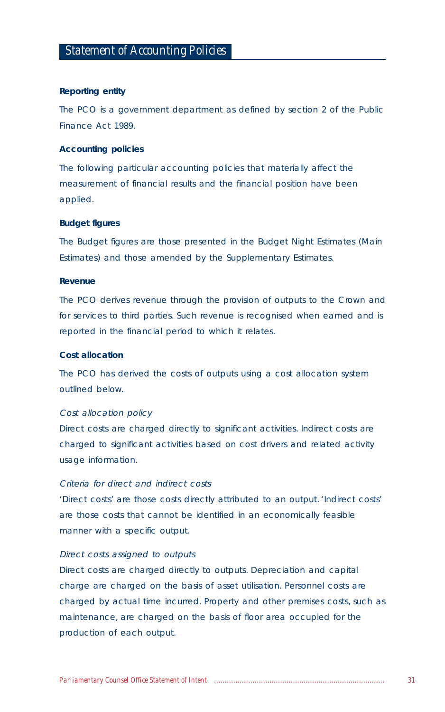#### **Reporting entity**

The PCO is a government department as defined by section 2 of the Public Finance Act 1989.

#### **Accounting policies**

The following particular accounting policies that materially affect the measurement of financial results and the financial position have been applied.

#### **Budget figures**

The Budget figures are those presented in the Budget Night Estimates (Main Estimates) and those amended by the Supplementary Estimates.

## **Revenue**

The PCO derives revenue through the provision of outputs to the Crown and for services to third parties. Such revenue is recognised when earned and is reported in the financial period to which it relates.

#### **Cost allocation**

The PCO has derived the costs of outputs using a cost allocation system outlined below.

#### Cost allocation policy

Direct costs are charged directly to significant activities. Indirect costs are charged to significant activities based on cost drivers and related activity usage information.

## Criteria for direct and indirect costs

'Direct costs' are those costs directly attributed to an output. 'Indirect costs' are those costs that cannot be identified in an economically feasible manner with a specific output.

#### Direct costs assigned to outputs

Direct costs are charged directly to outputs. Depreciation and capital charge are charged on the basis of asset utilisation. Personnel costs are charged by actual time incurred. Property and other premises costs, such as maintenance, are charged on the basis of floor area occupied for the production of each output.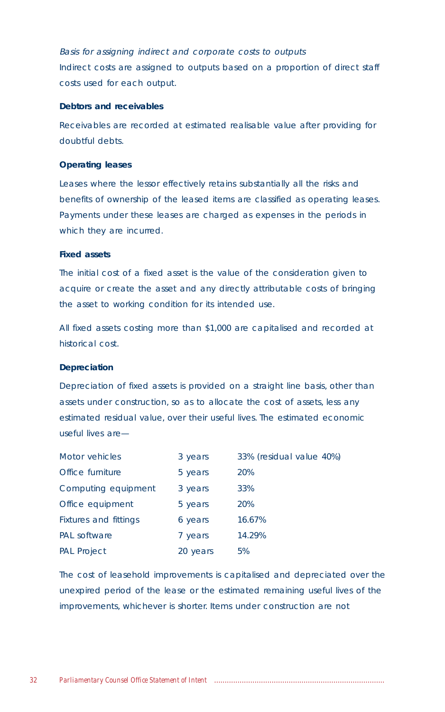Basis for assigning indirect and corporate costs to outputs Indirect costs are assigned to outputs based on a proportion of direct staff costs used for each output.

#### **Debtors and receivables**

Receivables are recorded at estimated realisable value after providing for doubtful debts.

#### **Operating leases**

Leases where the lessor effectively retains substantially all the risks and benefits of ownership of the leased items are classified as operating leases. Payments under these leases are charged as expenses in the periods in which they are incurred.

## **Fixed assets**

The initial cost of a fixed asset is the value of the consideration given to acquire or create the asset and any directly attributable costs of bringing the asset to working condition for its intended use.

All fixed assets costing more than \$1,000 are capitalised and recorded at historical cost.

#### **Depreciation**

Depreciation of fixed assets is provided on a straight line basis, other than assets under construction, so as to allocate the cost of assets, less any estimated residual value, over their useful lives. The estimated economic useful lives are—

| Motor vehicles        | 3 years  | 33% (residual value 40%) |
|-----------------------|----------|--------------------------|
| Office furniture      | 5 years  | 20%                      |
| Computing equipment   | 3 years  | 33%                      |
| Office equipment      | 5 years  | 20%                      |
| Fixtures and fittings | 6 years  | 16.67%                   |
| <b>PAL</b> software   | 7 years  | 14.29%                   |
| <b>PAL Project</b>    | 20 years | 5%                       |

The cost of leasehold improvements is capitalised and depreciated over the unexpired period of the lease or the estimated remaining useful lives of the improvements, whichever is shorter. Items under construction are not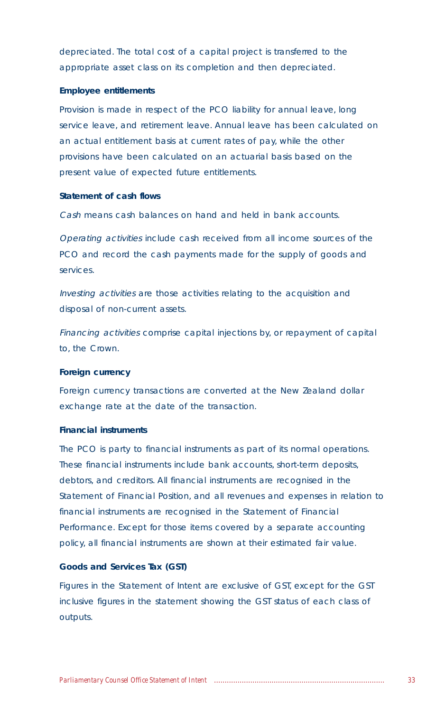depreciated. The total cost of a capital project is transferred to the appropriate asset class on its completion and then depreciated.

#### **Employee entitlements**

Provision is made in respect of the PCO liability for annual leave, long service leave, and retirement leave. Annual leave has been calculated on an actual entitlement basis at current rates of pay, while the other provisions have been calculated on an actuarial basis based on the present value of expected future entitlements.

### **Statement of cash flows**

Cash means cash balances on hand and held in bank accounts.

Operating activities include cash received from all income sources of the PCO and record the cash payments made for the supply of goods and services.

Investing activities are those activities relating to the acquisition and disposal of non-current assets.

Financing activities comprise capital injections by, or repayment of capital to, the Crown.

#### **Foreign currency**

Foreign currency transactions are converted at the New Zealand dollar exchange rate at the date of the transaction.

## **Financial instruments**

The PCO is party to financial instruments as part of its normal operations. These financial instruments include bank accounts, short-term deposits, debtors, and creditors. All financial instruments are recognised in the Statement of Financial Position, and all revenues and expenses in relation to financial instruments are recognised in the Statement of Financial Performance. Except for those items covered by a separate accounting policy, all financial instruments are shown at their estimated fair value.

## **Goods and Services Tax (GST)**

Figures in the Statement of Intent are exclusive of GST, except for the GST inclusive figures in the statement showing the GST status of each class of outputs.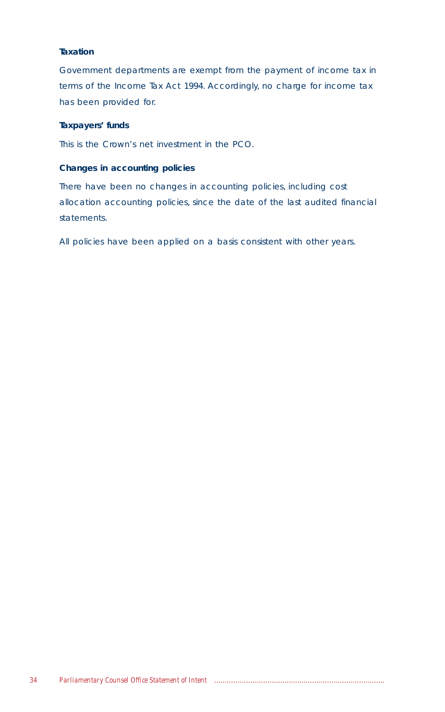## **Taxation**

Government departments are exempt from the payment of income tax in terms of the Income Tax Act 1994. Accordingly, no charge for income tax has been provided for.

## **Taxpayers' funds**

This is the Crown's net investment in the PCO.

## **Changes in accounting policies**

There have been no changes in accounting policies, including cost allocation accounting policies, since the date of the last audited financial statements.

All policies have been applied on a basis consistent with other years.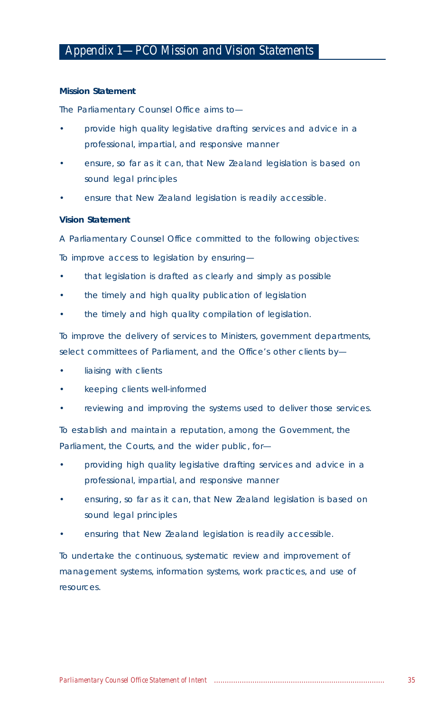## **Mission Statement**

The Parliamentary Counsel Office aims to—

- provide high quality legislative drafting services and advice in a professional, impartial, and responsive manner
- ensure, so far as it can, that New Zealand legislation is based on sound legal principles
- ensure that New Zealand legislation is readily accessible.

## **Vision Statement**

A Parliamentary Counsel Office committed to the following objectives:

To improve access to legislation by ensuring—

- that legislation is drafted as clearly and simply as possible
- the timely and high quality publication of legislation
- the timely and high quality compilation of legislation.

To improve the delivery of services to Ministers, government departments, select committees of Parliament, and the Office's other clients by—

- liaising with clients
- keeping clients well-informed
- reviewing and improving the systems used to deliver those services.

To establish and maintain a reputation, among the Government, the Parliament, the Courts, and the wider public, for—

- providing high quality legislative drafting services and advice in a professional, impartial, and responsive manner
- ensuring, so far as it can, that New Zealand legislation is based on sound legal principles
- ensuring that New Zealand legislation is readily accessible.

To undertake the continuous, systematic review and improvement of management systems, information systems, work practices, and use of resources.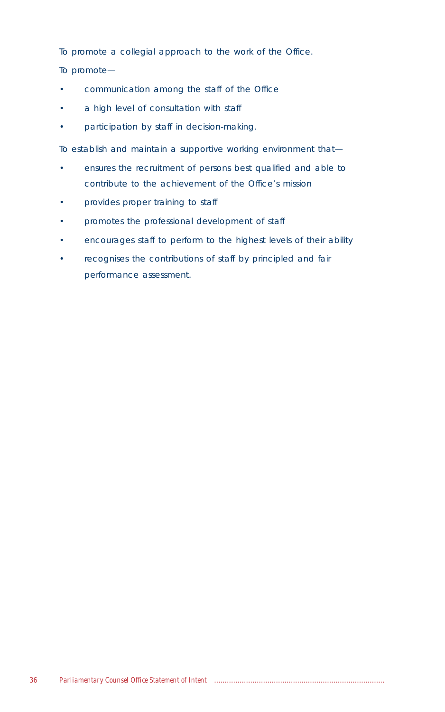To promote a collegial approach to the work of the Office.

To promote—

- communication among the staff of the Office
- a high level of consultation with staff
- participation by staff in decision-making.

To establish and maintain a supportive working environment that—

- ensures the recruitment of persons best qualified and able to contribute to the achievement of the Office's mission
- provides proper training to staff
- promotes the professional development of staff
- encourages staff to perform to the highest levels of their ability
- recognises the contributions of staff by principled and fair performance assessment.